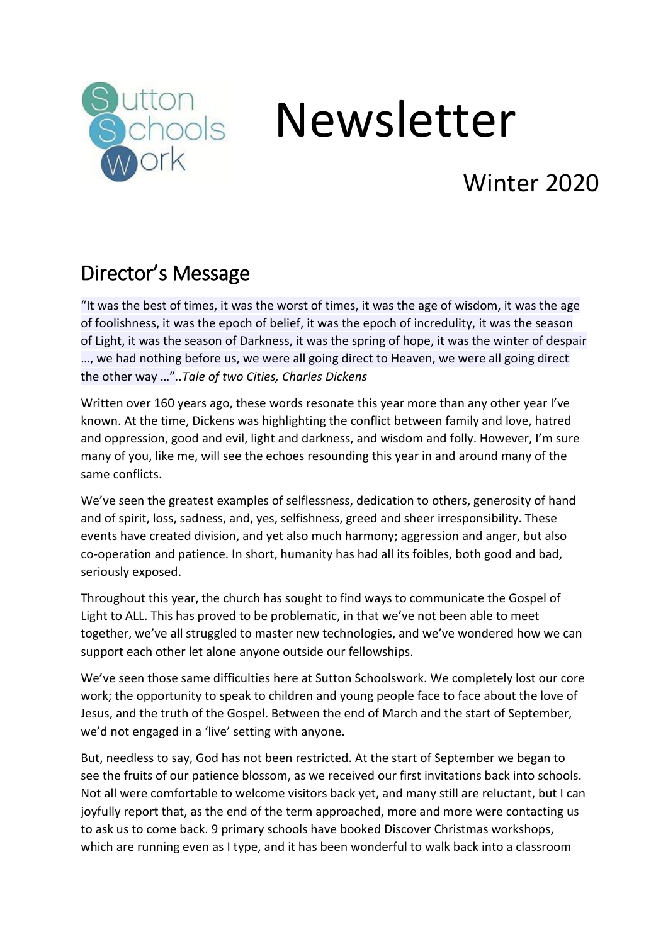

# Newsletter

## Winter 2020

## Director's Message

"It was the best of times, it was the worst of times, it was the age of wisdom, it was the age of foolishness, it was the epoch of belief, it was the epoch of incredulity, it was the season of Light, it was the season of Darkness, it was the spring of hope, it was the winter of despair …, we had nothing before us, we were all going direct to Heaven, we were all going direct the other way …"*..Tale of two Cities, Charles Dickens*

Written over 160 years ago, these words resonate this year more than any other year I've known. At the time, Dickens was highlighting the conflict between family and love, hatred and oppression, good and evil, light and [darkness](https://literarydevices.net/darkness/), and wisdom and folly. However, I'm sure many of you, like me, will see the echoes resounding this year in and around many of the same conflicts.

We've seen the greatest examples of selflessness, dedication to others, generosity of hand and of spirit, loss, sadness, and, yes, selfishness, greed and sheer irresponsibility. These events have created division, and yet also much harmony; aggression and anger, but also co-operation and patience. In short, humanity has had all its foibles, both good and bad, seriously exposed.

Throughout this year, the church has sought to find ways to communicate the Gospel of Light to ALL. This has proved to be problematic, in that we've not been able to meet together, we've all struggled to master new technologies, and we've wondered how we can support each other let alone anyone outside our fellowships.

We've seen those same difficulties here at Sutton Schoolswork. We completely lost our core work; the opportunity to speak to children and young people face to face about the love of Jesus, and the truth of the Gospel. Between the end of March and the start of September, we'd not engaged in a 'live' setting with anyone.

But, needless to say, God has not been restricted. At the start of September we began to see the fruits of our patience blossom, as we received our first invitations back into schools. Not all were comfortable to welcome visitors back yet, and many still are reluctant, but I can joyfully report that, as the end of the term approached, more and more were contacting us to ask us to come back. 9 primary schools have booked Discover Christmas workshops, which are running even as I type, and it has been wonderful to walk back into a classroom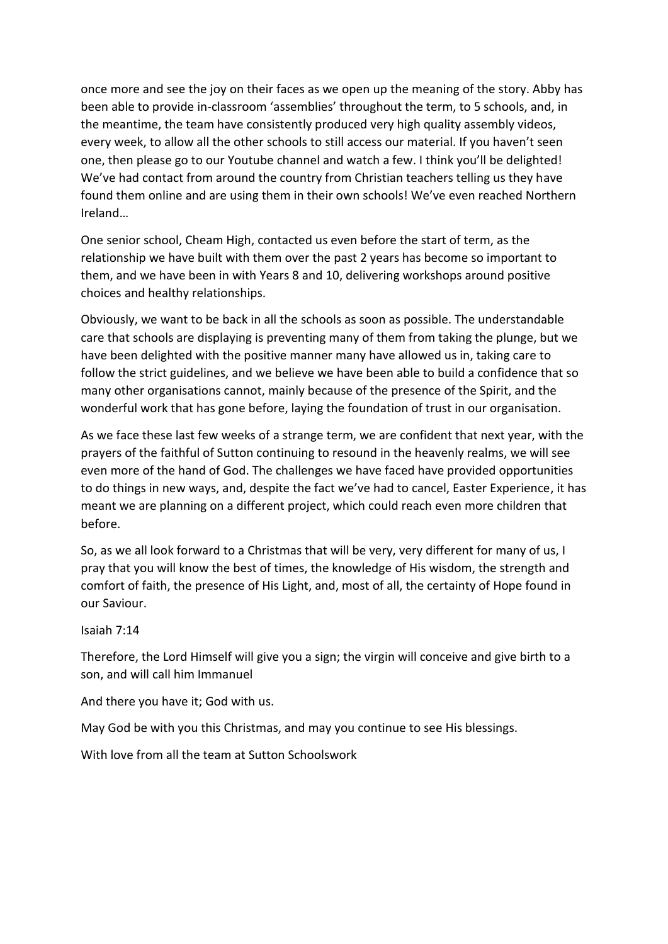once more and see the joy on their faces as we open up the meaning of the story. Abby has been able to provide in-classroom 'assemblies' throughout the term, to 5 schools, and, in the meantime, the team have consistently produced very high quality assembly videos, every week, to allow all the other schools to still access our material. If you haven't seen one, then please go to our Youtube channel and watch a few. I think you'll be delighted! We've had contact from around the country from Christian teachers telling us they have found them online and are using them in their own schools! We've even reached Northern Ireland…

One senior school, Cheam High, contacted us even before the start of term, as the relationship we have built with them over the past 2 years has become so important to them, and we have been in with Years 8 and 10, delivering workshops around positive choices and healthy relationships.

Obviously, we want to be back in all the schools as soon as possible. The understandable care that schools are displaying is preventing many of them from taking the plunge, but we have been delighted with the positive manner many have allowed us in, taking care to follow the strict guidelines, and we believe we have been able to build a confidence that so many other organisations cannot, mainly because of the presence of the Spirit, and the wonderful work that has gone before, laying the foundation of trust in our organisation.

As we face these last few weeks of a strange term, we are confident that next year, with the prayers of the faithful of Sutton continuing to resound in the heavenly realms, we will see even more of the hand of God. The challenges we have faced have provided opportunities to do things in new ways, and, despite the fact we've had to cancel, Easter Experience, it has meant we are planning on a different project, which could reach even more children that before.

So, as we all look forward to a Christmas that will be very, very different for many of us, I pray that you will know the best of times, the knowledge of His wisdom, the strength and comfort of faith, the presence of His Light, and, most of all, the certainty of Hope found in our Saviour.

Isaiah 7:14

Therefore, the Lord Himself will give you a sign; the virgin will conceive and give birth to a son, and will call him Immanuel

And there you have it; God with us.

May God be with you this Christmas, and may you continue to see His blessings.

With love from all the team at Sutton Schoolswork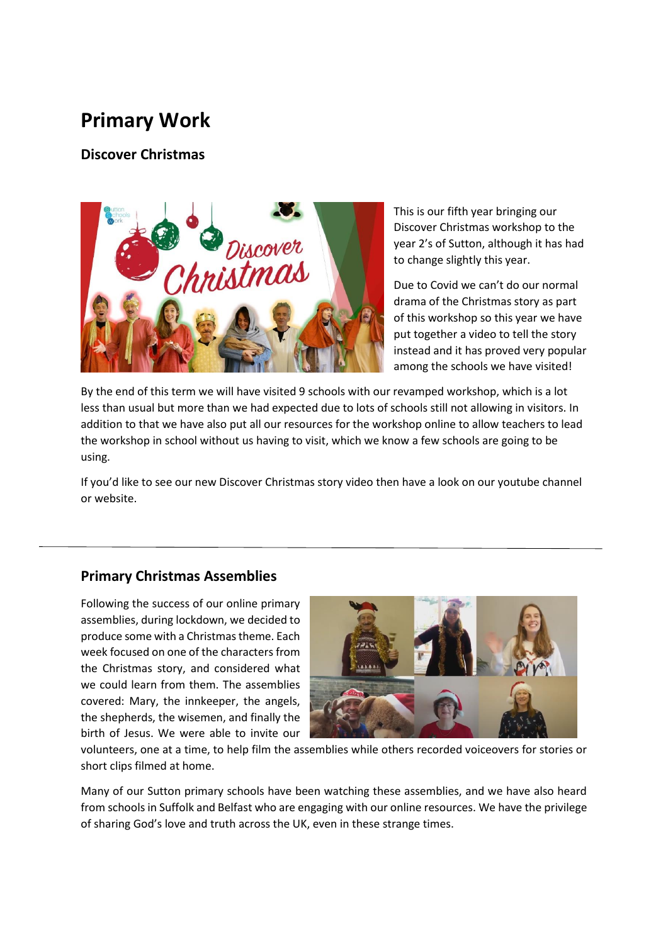### **Primary Work**

**Discover Christmas**



This is our fifth year bringing our Discover Christmas workshop to the year 2's of Sutton, although it has had to change slightly this year.

Due to Covid we can't do our normal drama of the Christmas story as part of this workshop so this year we have put together a video to tell the story instead and it has proved very popular among the schools we have visited!

By the end of this term we will have visited 9 schools with our revamped workshop, which is a lot less than usual but more than we had expected due to lots of schools still not allowing in visitors. In addition to that we have also put all our resources for the workshop online to allow teachers to lead the workshop in school without us having to visit, which we know a few schools are going to be using.

If you'd like to see our new Discover Christmas story video then have a look on our youtube channel or website.

#### **Primary Christmas Assemblies**

Following the success of our online primary assemblies, during lockdown, we decided to produce some with a Christmas theme. Each week focused on one of the characters from the Christmas story, and considered what we could learn from them. The assemblies covered: Mary, the innkeeper, the angels, the shepherds, the wisemen, and finally the birth of Jesus. We were able to invite our



volunteers, one at a time, to help film the assemblies while others recorded voiceovers for stories or short clips filmed at home.

Many of our Sutton primary schools have been watching these assemblies, and we have also heard from schools in Suffolk and Belfast who are engaging with our online resources. We have the privilege of sharing God's love and truth across the UK, even in these strange times.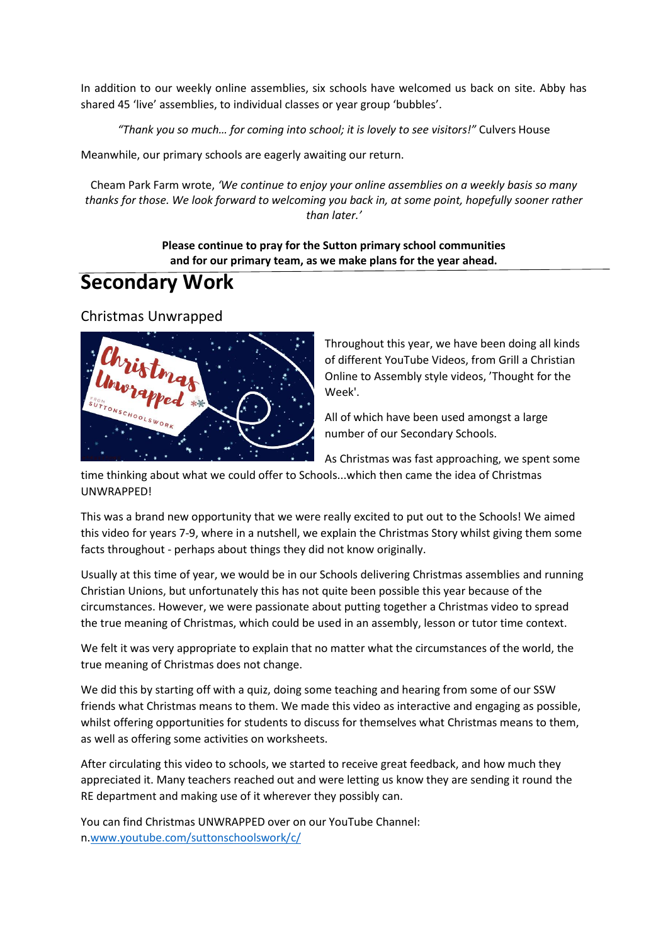In addition to our weekly online assemblies, six schools have welcomed us back on site. Abby has shared 45 'live' assemblies, to individual classes or year group 'bubbles'.

*"Thank you so much… for coming into school; it is lovely to see visitors!"* Culvers House

Meanwhile, our primary schools are eagerly awaiting our return.

Cheam Park Farm wrote, *'We continue to enjoy your online assemblies on a weekly basis so many thanks for those. We look forward to welcoming you back in, at some point, hopefully sooner rather than later.'*

> **Please continue to pray for the Sutton primary school communities and for our primary team, as we make plans for the year ahead.**

#### **Secondary Work**

Christmas Unwrapped



Throughout this year, we have been doing all kinds of different YouTube Videos, from Grill a Christian Online to Assembly style videos, 'Thought for the Week'.

All of which have been used amongst a large number of our Secondary Schools.

As Christmas was fast approaching, we spent some

time thinking about what we could offer to Schools...which then came the idea of Christmas UNWRAPPED!

This was a brand new opportunity that we were really excited to put out to the Schools! We aimed this video for years 7-9, where in a nutshell, we explain the Christmas Story whilst giving them some facts throughout - perhaps about things they did not know originally.

Usually at this time of year, we would be in our Schools delivering Christmas assemblies and running Christian Unions, but unfortunately this has not quite been possible this year because of the circumstances. However, we were passionate about putting together a Christmas video to spread the true meaning of Christmas, which could be used in an assembly, lesson or tutor time context.

We felt it was very appropriate to explain that no matter what the circumstances of the world, the true meaning of Christmas does not change.

We did this by starting off with a quiz, doing some teaching and hearing from some of our SSW friends what Christmas means to them. We made this video as interactive and engaging as possible, whilst offering opportunities for students to discuss for themselves what Christmas means to them, as well as offering some activities on worksheets.

After circulating this video to schools, we started to receive great feedback, and how much they appreciated it. Many teachers reached out and were letting us know they are sending it round the RE department and making use of it wherever they possibly can.

You can find Christmas UNWRAPPED over on our YouTube Channel: n[.www.youtube.com/suttonschoolswork/c/](http://www.youtube.com/suttonschoolswork/c/)